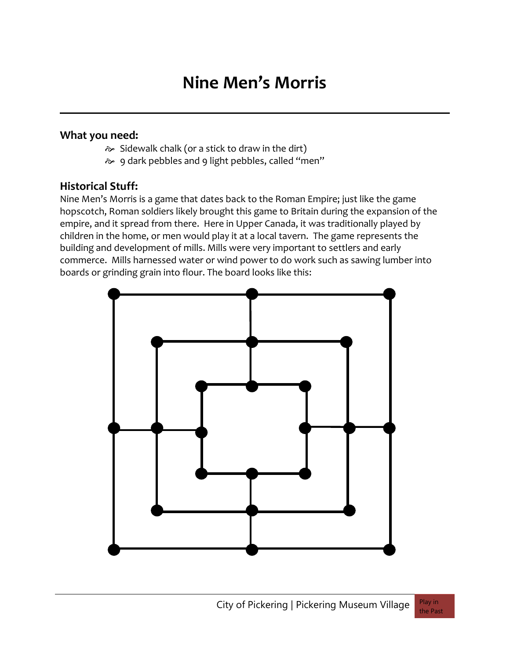# **Nine Men's Morris**

#### **What you need:**

- $\approx$  Sidewalk chalk (or a stick to draw in the dirt)
- 9 dark pebbles and 9 light pebbles, called "men"

### **Historical Stuff:**

Nine Men's Morris is a game that dates back to the Roman Empire; just like the game hopscotch, Roman soldiers likely brought this game to Britain during the expansion of the empire, and it spread from there. Here in Upper Canada, it was traditionally played by children in the home, or men would play it at a local tavern. The game represents the building and development of mills. Mills were very important to settlers and early commerce. Mills harnessed water or wind power to do work such as sawing lumber into boards or grinding grain into flour. The board looks like this:

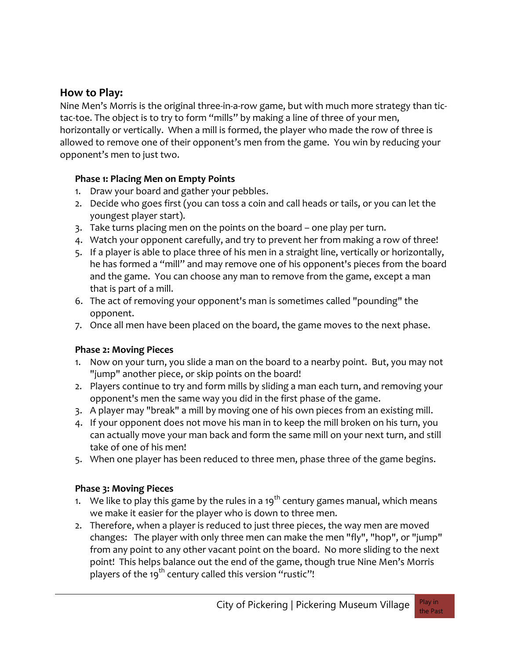## **How to Play:**

Nine Men's Morris is the original three-in-a-row game, but with much more strategy than tictac-toe. The object is to try to form "mills" by making a line of three of your men, horizontally or vertically. When a mill is formed, the player who made the row of three is allowed to remove one of their opponent's men from the game. You win by reducing your opponent's men to just two.

#### **Phase 1: Placing Men on Empty Points**

- 1. Draw your board and gather your pebbles.
- 2. Decide who goes first (you can toss a coin and call heads or tails, or you can let the youngest player start).
- 3. Take turns placing men on the points on the board one play per turn.
- 4. Watch your opponent carefully, and try to prevent her from making a row of three!
- 5. If a player is able to place three of his men in a straight line, vertically or horizontally, he has formed a "mill" and may remove one of his opponent's pieces from the board and the game. You can choose any man to remove from the game, except a man that is part of a mill.
- 6. The act of removing your opponent's man is sometimes called "pounding" the opponent.
- 7. Once all men have been placed on the board, the game moves to the next phase.

### **Phase 2: Moving Pieces**

- 1. Now on your turn, you slide a man on the board to a nearby point. But, you may not "jump" another piece, or skip points on the board!
- 2. Players continue to try and form mills by sliding a man each turn, and removing your opponent's men the same way you did in the first phase of the game.
- 3. A player may "break" a mill by moving one of his own pieces from an existing mill.
- 4. If your opponent does not move his man in to keep the mill broken on his turn, you can actually move your man back and form the same mill on your next turn, and still take of one of his men!
- 5. When one player has been reduced to three men, phase three of the game begins.

### **Phase 3: Moving Pieces**

- 1. We like to play this game by the rules in a 19<sup>th</sup> century games manual, which means we make it easier for the player who is down to three men.
- 2. Therefore, when a player is reduced to just three pieces, the way men are moved changes: The player with only three men can make the men "fly", "hop", or "jump" from any point to any other vacant point on the board. No more sliding to the next point! This helps balance out the end of the game, though true Nine Men's Morris players of the 19<sup>th</sup> century called this version "rustic"!